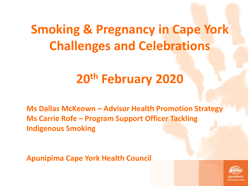### **Smoking & Pregnancy in Cape York Challenges and Celebrations**

#### **20th February 2020**

**Ms Dallas McKeown – Advisor Health Promotion Strategy Ms Carrie Rofe – Program Support Officer Tackling Indigenous Smoking**

**Apunipima Cape York Health Council**

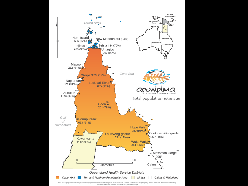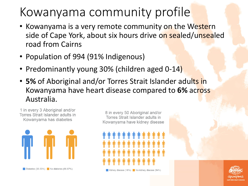#### Kowanyama community profile

- Kowanyama is a very remote community on the Western side of Cape York, about six hours drive on sealed/unsealed road from Cairns
- Population of 994 (91% Indigenous)
- Predominantly young 30% (children aged 0-14)
- **5%** of Aboriginal and/or Torres Strait Islander adults in Kowanyama have heart disease compared to **6%** across Australia.





8 in every 50 Aboriginal and/or Torres Strait Islander adults in Kowanyama have kidney disease



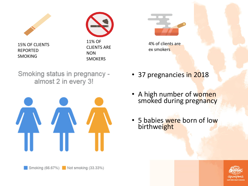

15% OF CLIENTS REPORTED SMOKING





4% of clients are ex smokers

Smoking status in pregnancy almost 2 in every 3!



- 37 pregnancies in 2018
- A high number of women smoked during pregnancy
- 5 babies were born of low **birthweight**

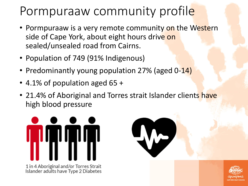### Pormpuraaw community profile

- Pormpuraaw is a very remote community on the Western side of Cape York, about eight hours drive on sealed/unsealed road from Cairns.
- Population of 749 (91% Indigenous)
- Predominantly young population 27% (aged 0-14)
- 4.1% of population aged 65 +
- 21.4% of Aboriginal and Torres strait Islander clients have high blood pressure



1 in 4 Aboriginal and/or Torres Strait<br>Islander adults have Type 2 Diabetes



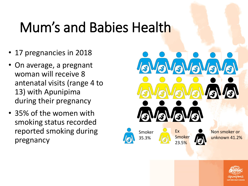## Mum's and Babies Health

- 17 pregnancies in 2018
- On average, a pregnant woman will receive 8 antenatal visits (range 4 to 13) with Apunipima during their pregnancy
- 35% of the women with smoking status recorded reported smoking during pregnancy



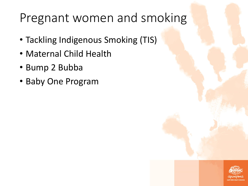#### Pregnant women and smoking

- Tackling Indigenous Smoking (TIS)
- Maternal Child Health
- Bump 2 Bubba
- Baby One Program

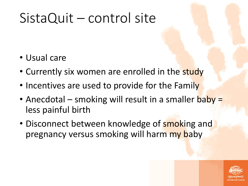## SistaQuit – control site

- Usual care
- Currently six women are enrolled in the study
- Incentives are used to provide for the Family
- Anecdotal smoking will result in a smaller baby = less painful birth
- Disconnect between knowledge of smoking and pregnancy versus smoking will harm my baby

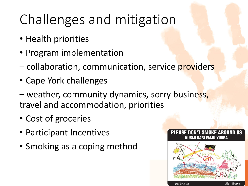## Challenges and mitigation

- Health priorities
- Program implementation
- collaboration, communication, service providers
- Cape York challenges
- weather, community dynamics, sorry business, travel and accommodation, priorities
- Cost of groceries
- Participant Incentives
- Smoking as a coping method



PLEASE DON'T SMOKE AROUND US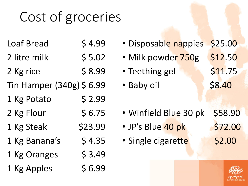# Cost of groceries

- Loaf Bread \$4.99
- 2 litre milk \$ 5.02
- 2 Kg rice  $\frac{1}{2}$  \$ 8.99
- Tin Hamper (340g) \$ 6.99
- 1 Kg Potato \$ 2.99
- $2$  Kg Flour  $\leq 6.75$
- 1 Kg Steak \$23.99
- $1$  Kg Banana's  $5$  4.35
- $1$  Kg Oranges  $\qquad$  \$ 3.49
- 1 Kg Apples  $\begin{array}{c} 56.99 \end{array}$
- Disposable nappies \$25.00 • Milk powder 750g \$12.50 • Teething gel \$11.75 • Baby oil \$8.40 • Winfield Blue 30 pk \$58.90 • JP's Blue 40 pk \$72.00 • Single cigarette \$2.00